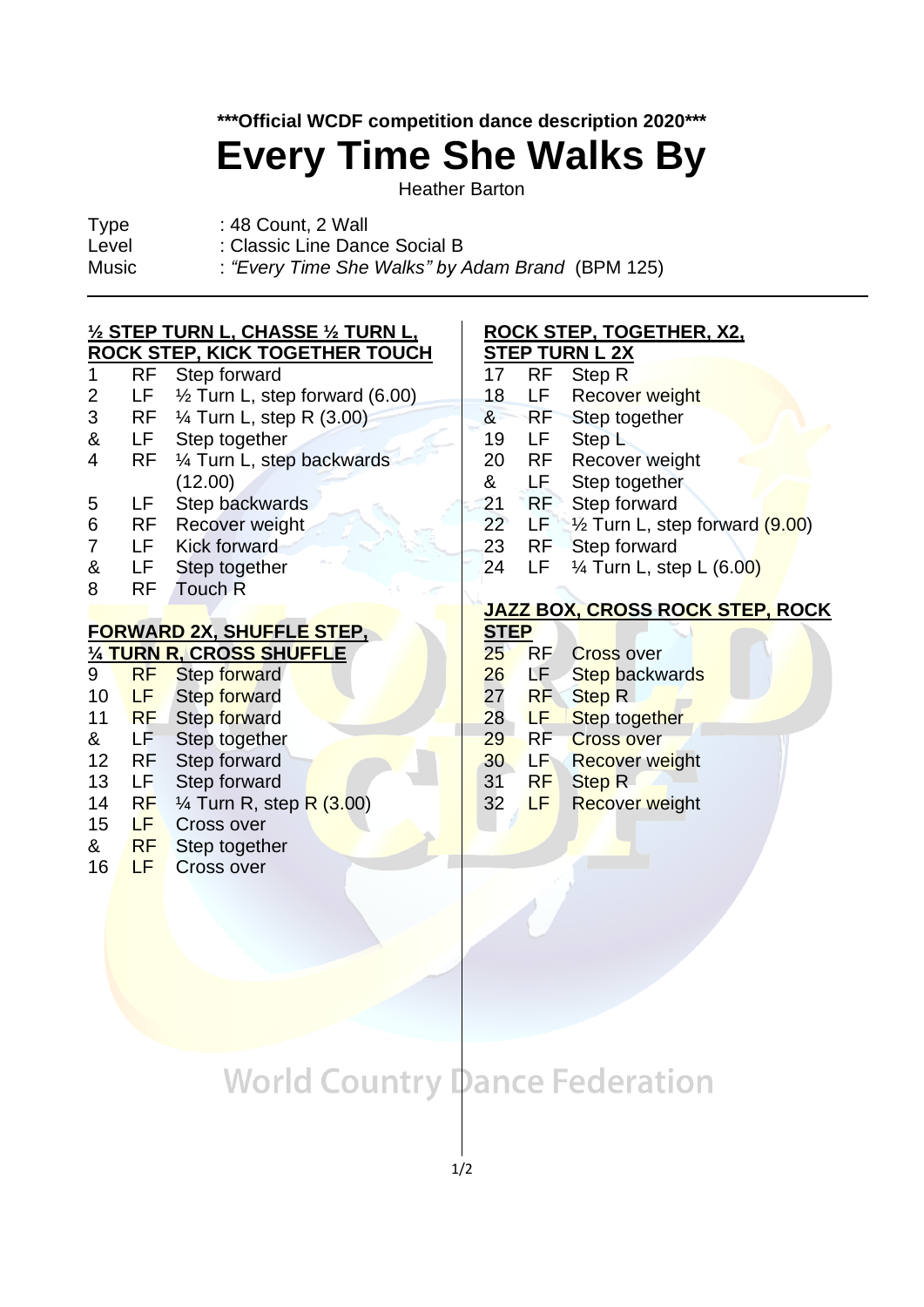### **\*\*\*Official WCDF competition dance description 2020\*\*\***

# **Every Time She Walks By**

Heather Barton

- 
- Type : 48 Count, 2 Wall Level : Classic Line Dance Social B
- 
- Music : *"Every Time She Walks" by Adam Brand* (BPM 125)  $\overline{a}$

 $(3.00)$ 

#### **½ STEP TURN L, CHASSE ½ TURN L, ROCK STEP, KICK TOGETHER TOUCH**

- 1 RF Step forward
- 2 LF ½ Turn L, step forward (6.00)
- 3 RF ¼ Turn L, step R (3.00)
- & LF Step together
- 4 RF ¼ Turn L, step backwards (12.00)
- 5 LF Step backwards
- 6 RF Recover weight
- 7 LF Kick forward
- & LF Step together
- 8 RF Touch R

### **FORWARD 2X, SHUFFLE STEP,**

| 1/4 TURN R, CROSS SHUFFLE |           |                                    |
|---------------------------|-----------|------------------------------------|
| 9                         | <b>RF</b> | Step forward                       |
| 10                        | LF        | Step forward                       |
| 11                        | <b>RF</b> | Step forward                       |
| &                         | LF        | Step together                      |
| 12                        | RF        | Step forward                       |
| 13                        | LF        | Step forward                       |
| 14                        | RF        | $\frac{1}{4}$ Turn R, step R $(3.$ |
| 15                        | LF        | <b>Cross over</b>                  |
| &                         | RF        | Step together                      |
|                           |           |                                    |

16 LF Cross over

#### **ROCK STEP, TOGETHER, X2, STEP TURN L 2X**

- 17 RF Step R
- 18 LF Recover weight
- & RF Step together
- 19 LF Step L
- 20 RF Recover weight
- & LF Step together
- 21 RF Step forward
- 22 LF  $\frac{1}{2}$  Turn L, step forward (9.00)
- 23 RF Step forward
- 24 LF  $\frac{1}{4}$  Turn L, step L (6.00)

### **JAZZ BOX, CROSS ROCK STEP, ROCK**

#### **STEP** 25 RF Cross over

- 26 LF Step backwards
- 27 RF Step R
- 28 LF Step together
- 29 RF Cross over
- **30 LF Recover weight**

31 RF Step R

32 LF Recover weight

# **World Country Dance Federation**